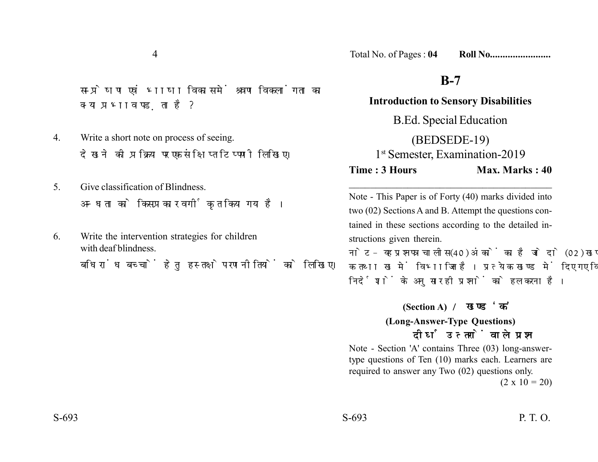4

सम्प्रेषण एवं भाषा विकास में श्रवण विकलांगता का क्या प्रभाव पड़ता है?

- 4. Write a short note on process of seeing. देखने की प्रक्रिया पर एक संक्षिप्त टिप्पणी लिखिए।
- 5. Give classification of Blindness. अन्धता को किस प्रकार वर्गीकृत किया गया है।
- 6. Write the intervention strategies for children with deaf blindness.

बधिरांध बच्चों हेतु हस्तक्षेप रणनीतियों को लिखिए।

Total No. of Pages : **04 Roll No........................**

## **B-7**

**Introduction to Sensory Disabilities** B.Ed. Special Education (BEDSEDE-19) 1<sup>st</sup> Semester, Examination-2019 **Time : 3 Hours Max. Marks : 40** 

Note - This Paper is of Forty (40) marks divided into two (02) Sections A and B. Attempt the questions contained in these sections according to the detailed instructions given therein.

\_\_\_\_\_\_\_\_\_\_\_\_\_\_\_\_\_\_\_\_\_\_\_\_\_\_\_\_\_\_\_\_\_\_\_\_\_\_

नोट- यह प्रश्नपत्र चालीस (40) अंकों का है जो दो (02) खण्डों, क तथा ख में विभाजित है। प्रत्येक खण्ड में दिए गए विस्तृत निर्देशों के अनुसार ही प्रश्नों को हल करना है।

> **(Section A) (Long-Answer-Type Questions)** दीर्घ उत्तरों वाले प्रश्न

Note - Section 'A' contains Three (03) long-answertype questions of Ten (10) marks each. Learners are required to answer any Two (02) questions only.

 $(2 \times 10 = 20)$